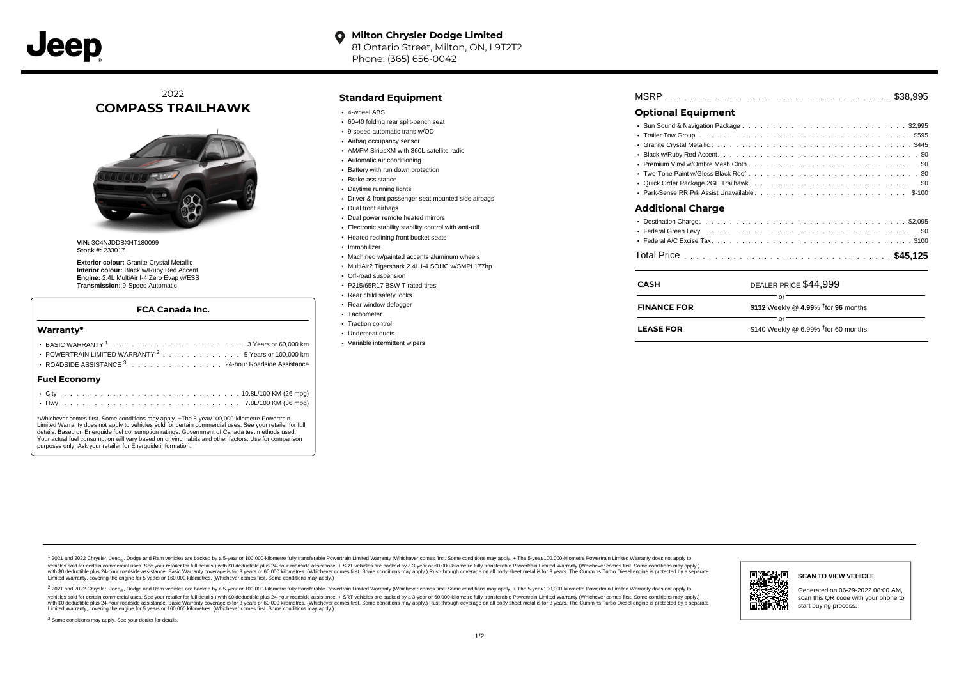

## 2022 **COMPASS TRAILHAWK**



**VIN:** 3C4NJDDBXNT180099 **Stock #:** 233017

**Exterior colour:** Granite Crystal Metallic **Interior colour:** Black w/Ruby Red Accent **Engine:** 2.4L MultiAir I-4 Zero Evap w/ESS **Transmission:** 9-Speed Automatic

#### **FCA Canada Inc.**

#### **Warranty\***

| POWERTRAIN LIMITED WARRANTY <sup>2</sup> 5 Years or 100,000 km<br>ROADSIDE ASSISTANCE 3 24-hour Roadside Assistance |  |  |  |  |  |  |  |  |  |  |  |  |  |  |  |  |  |  |  |
|---------------------------------------------------------------------------------------------------------------------|--|--|--|--|--|--|--|--|--|--|--|--|--|--|--|--|--|--|--|
| Fuel Economv                                                                                                        |  |  |  |  |  |  |  |  |  |  |  |  |  |  |  |  |  |  |  |
|                                                                                                                     |  |  |  |  |  |  |  |  |  |  |  |  |  |  |  |  |  |  |  |

\*Whichever comes first. Some conditions may apply. +The 5-year/100,000-kilometre Powertrain Limited Warranty does not apply to vehicles sold for certain commercial uses. See your retailer for full details. Based on Energuide fuel consumption ratings. Government of Canada test methods used. Your actual fuel consumption will vary based on driving habits and other factors. Use for comparison purposes only. Ask your retailer for Energuide information.

### **Standard Equipment**

- 4-wheel ABS
- 60-40 folding rear split-bench seat
- 9 speed automatic trans w/OD
- Airbag occupancy sensor
- AM/FM SiriusXM with 360L satellite radio
- Automatic air conditioning
- Battery with run down protection Brake assistance
- Daytime running lights
- Driver & front passenger seat mounted side airbags
- Dual front airbags
- Dual power remote heated mirrors
- Electronic stability stability control with anti-roll
- Heated reclining front bucket seats
- · Immobilizer
- Machined w/painted accents aluminum wheels
- MultiAir2 Tigershark 2.4L I-4 SOHC w/SMPI 177hp
- Off-road suspension
- P215/65R17 BSW T-rated tires
- Rear child safety locks
- Rear window defogger
- Tachometer
- Traction control Underseat ducts
- 
- Variable intermittent wipers

|--|--|--|--|--|--|--|--|--|--|--|--|--|--|--|--|--|--|--|--|--|--|--|--|--|--|--|--|--|--|--|--|--|--|--|--|--|--|--|--|--|--|--|--|--|--|--|

## **Optional Equipment**

| Additional Charge |
|-------------------|
|                   |
|                   |
|                   |
|                   |

| <b>CASH</b>        | DEALER PRICE \$44.999                  |  |
|--------------------|----------------------------------------|--|
| <b>FINANCE FOR</b> | \$132 Weekly @ 4.99% $†$ for 96 months |  |
| <b>LEASE FOR</b>   | \$140 Weekly @ 6.99% $†$ for 60 months |  |

1 2021 and 2022 Chrysler, Jeep<sub>en</sub> Dodge and Ram vehicles are backed by a 5-year or 100,000-kilometre fully transferable Powertrain Limited Warranty (Whichever comes first. Some conditions may apply. + The 5-year/100,000-k vehicles sold for certain commercial uses. See your retailer for full details.) with \$0 deductible plus 24-hour roadside assistance. + SRT vehicles are backed by a 3-year or 60,000-kilometre fully transferable Powertrain L versus and contract the mean of the contract of the contract with a contract with a contract the contract of the search of the contract and a control of the contract and contract and control of the search of the search of Limited Warranty, covering the engine for 5 years or 160,000 kilometres. (Whichever comes first. Some conditions may apply.)

<sup>2</sup> 2021 and 2022 Chrysler, Jeep<sub>®</sub>, Dodge and Ram vehicles are backed by a 5-year or 100,000-kilometre fully transferable Powertrain Limited Warranty (Whichever comes first. Some conditions may apply. + The 5-year/100,000 vehicles sold for certain commercial uses. See your retailer for full details.) with SO deductible plus 24-hour roadside assistance. + SRT vehicles are backed by a 3-year or 60.000-kilometre fully transferable Powertrain L with S0 deductible plus 24-hour roadside assistance. Basic Warranty coverage is for 3 years or 60,000 kilometres. (Whichever comes first. Some conditions may apply.) Rust-through coverage on all body sheet metal is for 3 y ы अवस्थान **SCAN TO VIEW VEHICLE** Generated on 06-29-2022 08:00 AM, scan this QR code with your phone to பள start buying process.



<sup>3</sup> Some conditions may apply. See your dealer for details.